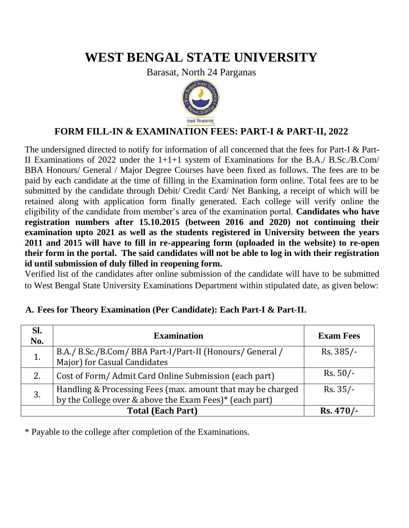# **WEST BENGAL STATE UNIVERSITY**

Barasat, North 24 Parganas



## **FORM FILL-IN & EXAMINATION FEES: PART-I & PART-II, 2022**

The undersigned directed to notify for information of all concerned that the fees for Part-I & Part-II Examinations of 2022 under the 1+1+1 system of Examinations for the B.A./ B.Sc./B.Com/ BBA Honours/ General / Major Degree Courses have been fixed as follows. The fees are to be paid by each candidate at the time of filling in the Examination form online. Total fees are to be submitted by the candidate through Debit/ Credit Card/ Net Banking, a receipt of which will be retained along with application form finally generated. Each college will verify online the eligibility of the candidate from member's area of the examination portal. **Candidates who have registration numbers after 15.10.2015 (between 2016 and 2020) not continuing their examination upto 2021 as well as the students registered in University between the years 2011 and 2015 will have to fill in re-appearing form (uploaded in the website) to re-open their form in the portal. The said candidates will not be able to log in with their registration id until submission of duly filled in reopening form.** 

Verified list of the candidates after online submission of the candidate will have to be submitted to West Bengal State University Examinations Department within stipulated date, as given below:

| SI.<br>No. | <b>Examination</b>                                                                                                     | <b>Exam Fees</b> |
|------------|------------------------------------------------------------------------------------------------------------------------|------------------|
| 1.         | B.A./ B.Sc./B.Com/ BBA Part-I/Part-II (Honours/ General / Major) for Casual Candidates                                 | $Rs. 385/-$      |
| 2.         | Cost of Form/ Admit Card Online Submission (each part)                                                                 | $Rs. 50/-$       |
| 3.         | Handling & Processing Fees (max. amount that may be charged<br>by the College over & above the Exam Fees)* (each part) | $Rs. 35/-$       |
|            | $Rs.470/-$                                                                                                             |                  |

#### **A. Fees for Theory Examination (Per Candidate): Each Part-I & Part-II.**

\* Payable to the college after completion of the Examinations.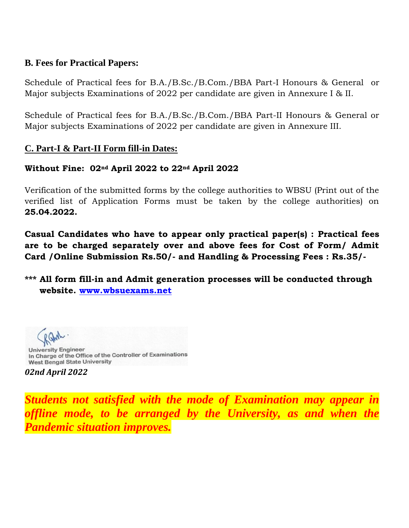### **B. Fees for Practical Papers:**

Schedule of Practical fees for B.A./B.Sc./B.Com./BBA Part-I Honours & General or Major subjects Examinations of 2022 per candidate are given in Annexure I & II.

Schedule of Practical fees for B.A./B.Sc./B.Com./BBA Part-II Honours & General or Major subjects Examinations of 2022 per candidate are given in Annexure III.

## **C. Part-I & Part-II Form fill-in Dates:**

## **Without Fine: 02nd April 2022 to 22nd April 2022**

Verification of the submitted forms by the college authorities to WBSU (Print out of the verified list of Application Forms must be taken by the college authorities) on **25.04.2022.**

**Casual Candidates who have to appear only practical paper(s) : Practical fees are to be charged separately over and above fees for Cost of Form/ Admit Card /Online Submission Rs.50/- and Handling & Processing Fees : Rs.35/-**

**\*\*\* All form fill-in and Admit generation processes will be conducted through website. [www.wbsuexams.net](http://www.wbsuexams.net/)**

**University Engineer** In Charge of the Office of the Controller of Examinations **West Bengal State University** 

*02nd April 2022*

*Students not satisfied with the mode of Examination may appear in offline mode, to be arranged by the University, as and when the Pandemic situation improves.*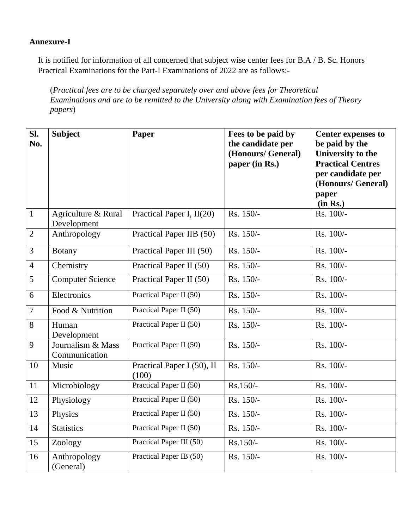#### **Annexure-I**

It is notified for information of all concerned that subject wise center fees for B.A / B. Sc. Honors Practical Examinations for the Part-I Examinations of 2022 are as follows:-

(*Practical fees are to be charged separately over and above fees for Theoretical Examinations and are to be remitted to the University along with Examination fees of Theory papers*)

| SI.<br>No.     | <b>Subject</b>                     | Paper                               | Fees to be paid by<br>the candidate per<br>(Honours/ General)<br>paper (in Rs.) | <b>Center expenses to</b><br>be paid by the<br>University to the<br><b>Practical Centres</b><br>per candidate per<br>(Honours/ General)<br>paper<br>(in Rs.) |
|----------------|------------------------------------|-------------------------------------|---------------------------------------------------------------------------------|--------------------------------------------------------------------------------------------------------------------------------------------------------------|
| $\mathbf{1}$   | Agriculture & Rural<br>Development | Practical Paper I, II(20)           | Rs. 150/-                                                                       | Rs. 100/-                                                                                                                                                    |
| $\overline{2}$ | Anthropology                       | Practical Paper IIB (50)            | Rs. 150/-                                                                       | Rs. 100/-                                                                                                                                                    |
| $\overline{3}$ | <b>Botany</b>                      | Practical Paper III (50)            | Rs. 150/-                                                                       | Rs. 100/-                                                                                                                                                    |
| $\overline{4}$ | Chemistry                          | Practical Paper II (50)             | Rs. 150/-                                                                       | Rs. 100/-                                                                                                                                                    |
| 5              | <b>Computer Science</b>            | Practical Paper II (50)             | Rs. 150/-                                                                       | Rs. 100/-                                                                                                                                                    |
| 6              | Electronics                        | Practical Paper II (50)             | Rs. 150/-                                                                       | Rs. 100/-                                                                                                                                                    |
| $\tau$         | Food & Nutrition                   | Practical Paper II (50)             | Rs. 150/-                                                                       | Rs. 100/-                                                                                                                                                    |
| 8              | Human<br>Development               | Practical Paper II (50)             | Rs. 150/-                                                                       | Rs. 100/-                                                                                                                                                    |
| 9              | Journalism & Mass<br>Communication | Practical Paper II (50)             | Rs. 150/-                                                                       | Rs. 100/-                                                                                                                                                    |
| 10             | Music                              | Practical Paper I (50), II<br>(100) | Rs. 150/-                                                                       | Rs. 100/-                                                                                                                                                    |
| 11             | Microbiology                       | Practical Paper II (50)             | Rs.150/-                                                                        | Rs. 100/-                                                                                                                                                    |
| 12             | Physiology                         | Practical Paper II (50)             | Rs. 150/-                                                                       | Rs. 100/-                                                                                                                                                    |
| 13             | Physics                            | Practical Paper II (50)             | Rs. 150/-                                                                       | Rs. 100/-                                                                                                                                                    |
| 14             | <b>Statistics</b>                  | Practical Paper II (50)             | Rs. 150/-                                                                       | Rs. 100/-                                                                                                                                                    |
| 15             | Zoology                            | Practical Paper III (50)            | $Rs.150/-$                                                                      | Rs. 100/-                                                                                                                                                    |
| 16             | Anthropology<br>(General)          | Practical Paper IB (50)             | Rs. 150/-                                                                       | Rs. 100/-                                                                                                                                                    |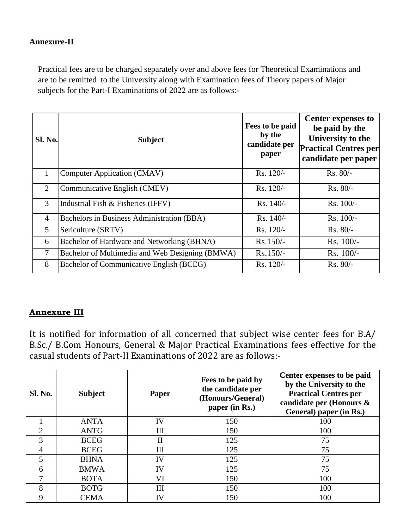#### **Annexure-II**

Practical fees are to be charged separately over and above fees for Theoretical Examinations and are to be remitted to the University along with Examination fees of Theory papers of Major subjects for the Part-I Examinations of 2022 are as follows:-

| <b>Sl. No.</b> | <b>Subject</b>                                  | Fees to be paid<br>by the<br>candidate per<br>paper | <b>Center expenses to</b><br>be paid by the<br>University to the<br><b>Practical Centres per</b><br>candidate per paper |
|----------------|-------------------------------------------------|-----------------------------------------------------|-------------------------------------------------------------------------------------------------------------------------|
| 1              | <b>Computer Application (CMAV)</b>              | Rs. 120/-                                           | $Rs. 80/-$                                                                                                              |
| $\overline{2}$ | Communicative English (CMEV)                    | Rs. 120/-                                           | $Rs. 80/-$                                                                                                              |
| 3              | Industrial Fish & Fisheries (IFFV)              | Rs. 140/-                                           | $Rs. 100/-$                                                                                                             |
| $\overline{4}$ | Bachelors in Business Administration (BBA)      | $Rs. 140/-$                                         | Rs. 100/-                                                                                                               |
| 5              | Sericulture (SRTV)                              | Rs. 120/-                                           | $Rs. 80/-$                                                                                                              |
| 6              | Bachelor of Hardware and Networking (BHNA)      | $Rs.150/-$                                          | $Rs. 100/-$                                                                                                             |
| 7              | Bachelor of Multimedia and Web Designing (BMWA) | $Rs.150/-$                                          | $Rs. 100/-$                                                                                                             |
| 8              | Bachelor of Communicative English (BCEG)        | Rs. 120/-                                           | $Rs. 80/-$                                                                                                              |

#### **Annexure III**

It is notified for information of all concerned that subject wise center fees for B.A/ B.Sc./ B.Com Honours, General & Major Practical Examinations fees effective for the casual students of Part-II Examinations of 2022 are as follows:-

| <b>Sl. No.</b> | <b>Subject</b> | Paper        | Fees to be paid by<br>the candidate per<br>(Honours/General)<br>paper (in Rs.) | Center expenses to be paid<br>by the University to the<br><b>Practical Centres per</b><br>candidate per (Honours &<br>General) paper (in Rs.) |
|----------------|----------------|--------------|--------------------------------------------------------------------------------|-----------------------------------------------------------------------------------------------------------------------------------------------|
|                | <b>ANTA</b>    | IV           | 150                                                                            | 100                                                                                                                                           |
| $\mathfrak{D}$ | <b>ANTG</b>    | Ш            | 150                                                                            | 100                                                                                                                                           |
| 3              | <b>BCEG</b>    | $\mathbf{I}$ | 125                                                                            | 75                                                                                                                                            |
| 4              | <b>BCEG</b>    | III          | 125                                                                            | 75                                                                                                                                            |
| 5              | <b>BHNA</b>    | IV           | 125                                                                            | 75                                                                                                                                            |
| 6              | <b>BMWA</b>    | IV           | 125                                                                            | 75                                                                                                                                            |
|                | <b>BOTA</b>    | VI           | 150                                                                            | 100                                                                                                                                           |
| 8              | <b>BOTG</b>    | Ш            | 150                                                                            | 100                                                                                                                                           |
| 9              | <b>CEMA</b>    | IV           | 150                                                                            | 100                                                                                                                                           |